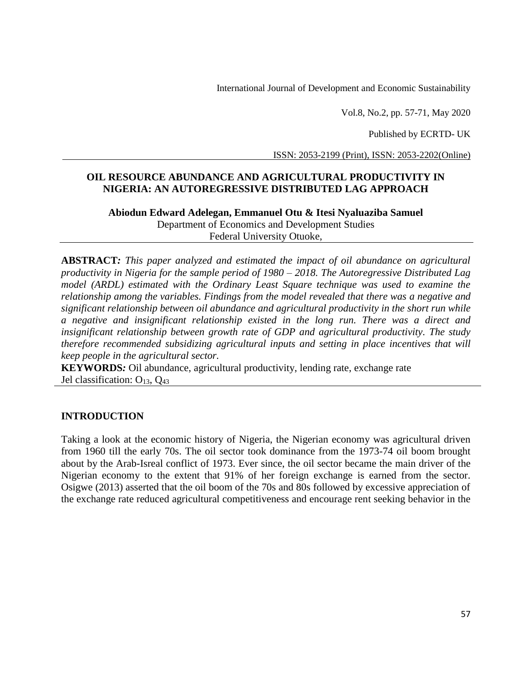Vol.8, No.2, pp. 57-71, May 2020

Published by ECRTD- UK

ISSN: 2053-2199 (Print), ISSN: 2053-2202(Online)

# **OIL RESOURCE ABUNDANCE AND AGRICULTURAL PRODUCTIVITY IN NIGERIA: AN AUTOREGRESSIVE DISTRIBUTED LAG APPROACH**

**Abiodun Edward Adelegan, Emmanuel Otu & Itesi Nyaluaziba Samuel** Department of Economics and Development Studies Federal University Otuoke,

**ABSTRACT***: This paper analyzed and estimated the impact of oil abundance on agricultural productivity in Nigeria for the sample period of 1980 – 2018. The Autoregressive Distributed Lag model (ARDL) estimated with the Ordinary Least Square technique was used to examine the relationship among the variables. Findings from the model revealed that there was a negative and significant relationship between oil abundance and agricultural productivity in the short run while a negative and insignificant relationship existed in the long run. There was a direct and insignificant relationship between growth rate of GDP and agricultural productivity. The study therefore recommended subsidizing agricultural inputs and setting in place incentives that will keep people in the agricultural sector.*

**KEYWORDS***:* Oil abundance, agricultural productivity, lending rate, exchange rate Jel classification:  $O_{13}$ ,  $O_{43}$ 

## **INTRODUCTION**

Taking a look at the economic history of Nigeria, the Nigerian economy was agricultural driven from 1960 till the early 70s. The oil sector took dominance from the 1973-74 oil boom brought about by the Arab-Isreal conflict of 1973. Ever since, the oil sector became the main driver of the Nigerian economy to the extent that 91% of her foreign exchange is earned from the sector. Osigwe (2013) asserted that the oil boom of the 70s and 80s followed by excessive appreciation of the exchange rate reduced agricultural competitiveness and encourage rent seeking behavior in the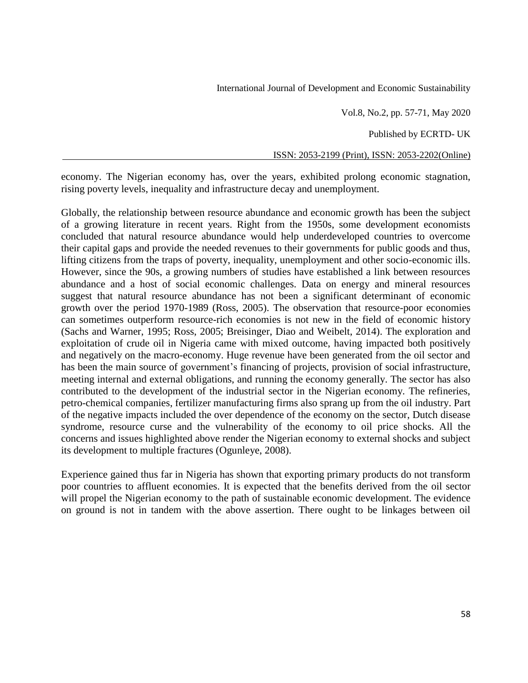Vol.8, No.2, pp. 57-71, May 2020

Published by ECRTD- UK

ISSN: 2053-2199 (Print), ISSN: 2053-2202(Online)

economy. The Nigerian economy has, over the years, exhibited prolong economic stagnation, rising poverty levels, inequality and infrastructure decay and unemployment.

Globally, the relationship between resource abundance and economic growth has been the subject of a growing literature in recent years. Right from the 1950s, some development economists concluded that natural resource abundance would help underdeveloped countries to overcome their capital gaps and provide the needed revenues to their governments for public goods and thus, lifting citizens from the traps of poverty, inequality, unemployment and other socio-economic ills. However, since the 90s, a growing numbers of studies have established a link between resources abundance and a host of social economic challenges. Data on energy and mineral resources suggest that natural resource abundance has not been a significant determinant of economic growth over the period 1970-1989 (Ross, 2005). The observation that resource-poor economies can sometimes outperform resource-rich economies is not new in the field of economic history (Sachs and Warner, 1995; Ross, 2005; Breisinger, Diao and Weibelt, 2014). The exploration and exploitation of crude oil in Nigeria came with mixed outcome, having impacted both positively and negatively on the macro-economy. Huge revenue have been generated from the oil sector and has been the main source of government's financing of projects, provision of social infrastructure, meeting internal and external obligations, and running the economy generally. The sector has also contributed to the development of the industrial sector in the Nigerian economy. The refineries, petro-chemical companies, fertilizer manufacturing firms also sprang up from the oil industry. Part of the negative impacts included the over dependence of the economy on the sector, Dutch disease syndrome, resource curse and the vulnerability of the economy to oil price shocks. All the concerns and issues highlighted above render the Nigerian economy to external shocks and subject its development to multiple fractures (Ogunleye, 2008).

Experience gained thus far in Nigeria has shown that exporting primary products do not transform poor countries to affluent economies. It is expected that the benefits derived from the oil sector will propel the Nigerian economy to the path of sustainable economic development. The evidence on ground is not in tandem with the above assertion. There ought to be linkages between oil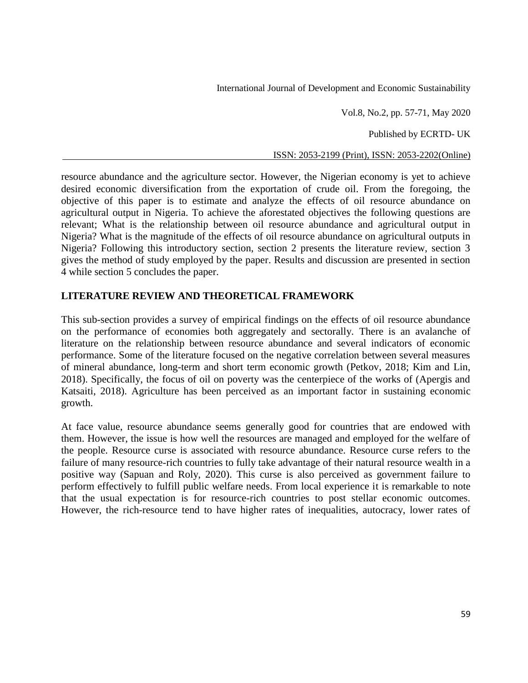Vol.8, No.2, pp. 57-71, May 2020

Published by ECRTD- UK

ISSN: 2053-2199 (Print), ISSN: 2053-2202(Online)

resource abundance and the agriculture sector. However, the Nigerian economy is yet to achieve desired economic diversification from the exportation of crude oil. From the foregoing, the objective of this paper is to estimate and analyze the effects of oil resource abundance on agricultural output in Nigeria. To achieve the aforestated objectives the following questions are relevant; What is the relationship between oil resource abundance and agricultural output in Nigeria? What is the magnitude of the effects of oil resource abundance on agricultural outputs in Nigeria? Following this introductory section, section 2 presents the literature review, section 3 gives the method of study employed by the paper. Results and discussion are presented in section 4 while section 5 concludes the paper.

# **LITERATURE REVIEW AND THEORETICAL FRAMEWORK**

This sub-section provides a survey of empirical findings on the effects of oil resource abundance on the performance of economies both aggregately and sectorally. There is an avalanche of literature on the relationship between resource abundance and several indicators of economic performance. Some of the literature focused on the negative correlation between several measures of mineral abundance, long-term and short term economic growth (Petkov, 2018; Kim and Lin, 2018). Specifically, the focus of oil on poverty was the centerpiece of the works of (Apergis and Katsaiti, 2018). Agriculture has been perceived as an important factor in sustaining economic growth.

At face value, resource abundance seems generally good for countries that are endowed with them. However, the issue is how well the resources are managed and employed for the welfare of the people. Resource curse is associated with resource abundance. Resource curse refers to the failure of many resource-rich countries to fully take advantage of their natural resource wealth in a positive way (Sapuan and Roly, 2020). This curse is also perceived as government failure to perform effectively to fulfill public welfare needs. From local experience it is remarkable to note that the usual expectation is for resource-rich countries to post stellar economic outcomes. However, the rich-resource tend to have higher rates of inequalities, autocracy, lower rates of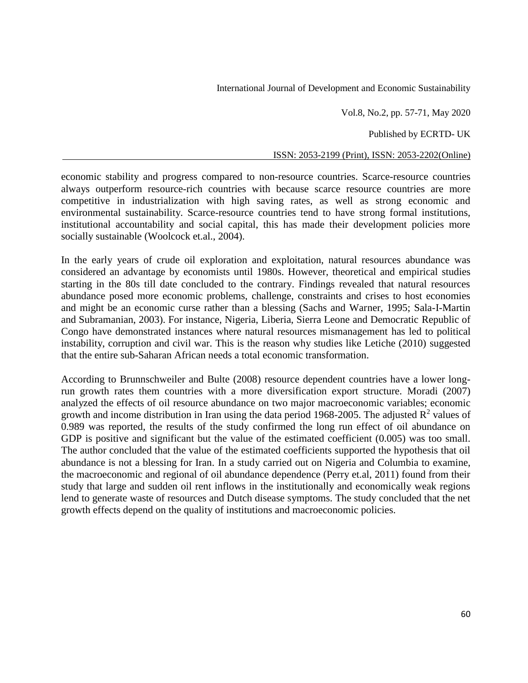Vol.8, No.2, pp. 57-71, May 2020

Published by ECRTD- UK

ISSN: 2053-2199 (Print), ISSN: 2053-2202(Online)

economic stability and progress compared to non-resource countries. Scarce-resource countries always outperform resource-rich countries with because scarce resource countries are more competitive in industrialization with high saving rates, as well as strong economic and environmental sustainability. Scarce-resource countries tend to have strong formal institutions, institutional accountability and social capital, this has made their development policies more socially sustainable (Woolcock et.al., 2004).

In the early years of crude oil exploration and exploitation, natural resources abundance was considered an advantage by economists until 1980s. However, theoretical and empirical studies starting in the 80s till date concluded to the contrary. Findings revealed that natural resources abundance posed more economic problems, challenge, constraints and crises to host economies and might be an economic curse rather than a blessing (Sachs and Warner, 1995; Sala-I-Martin and Subramanian, 2003). For instance, Nigeria, Liberia, Sierra Leone and Democratic Republic of Congo have demonstrated instances where natural resources mismanagement has led to political instability, corruption and civil war. This is the reason why studies like Letiche (2010) suggested that the entire sub-Saharan African needs a total economic transformation.

According to Brunnschweiler and Bulte (2008) resource dependent countries have a lower longrun growth rates them countries with a more diversification export structure. Moradi (2007) analyzed the effects of oil resource abundance on two major macroeconomic variables; economic growth and income distribution in Iran using the data period 1968-2005. The adjusted  $\mathbb{R}^2$  values of 0.989 was reported, the results of the study confirmed the long run effect of oil abundance on GDP is positive and significant but the value of the estimated coefficient  $(0.005)$  was too small. The author concluded that the value of the estimated coefficients supported the hypothesis that oil abundance is not a blessing for Iran. In a study carried out on Nigeria and Columbia to examine, the macroeconomic and regional of oil abundance dependence (Perry et.al, 2011) found from their study that large and sudden oil rent inflows in the institutionally and economically weak regions lend to generate waste of resources and Dutch disease symptoms. The study concluded that the net growth effects depend on the quality of institutions and macroeconomic policies.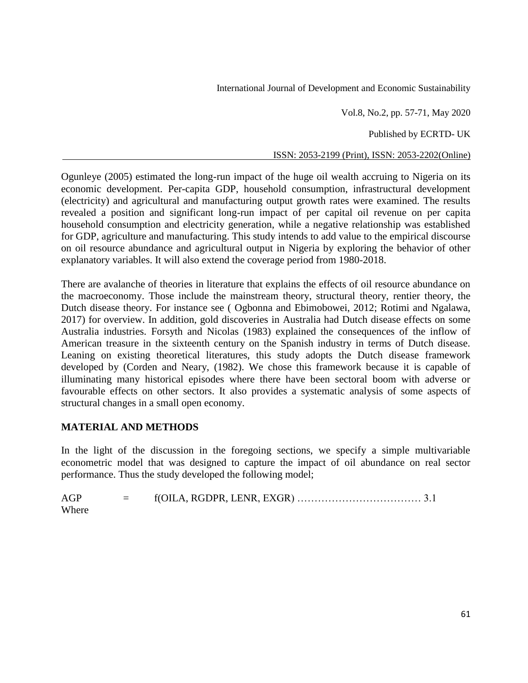Vol.8, No.2, pp. 57-71, May 2020

Published by ECRTD- UK

ISSN: 2053-2199 (Print), ISSN: 2053-2202(Online)

Ogunleye (2005) estimated the long-run impact of the huge oil wealth accruing to Nigeria on its economic development. Per-capita GDP, household consumption, infrastructural development (electricity) and agricultural and manufacturing output growth rates were examined. The results revealed a position and significant long-run impact of per capital oil revenue on per capita household consumption and electricity generation, while a negative relationship was established for GDP, agriculture and manufacturing. This study intends to add value to the empirical discourse on oil resource abundance and agricultural output in Nigeria by exploring the behavior of other explanatory variables. It will also extend the coverage period from 1980-2018.

There are avalanche of theories in literature that explains the effects of oil resource abundance on the macroeconomy. Those include the mainstream theory, structural theory, rentier theory, the Dutch disease theory. For instance see ( Ogbonna and Ebimobowei, 2012; Rotimi and Ngalawa, 2017) for overview. In addition, gold discoveries in Australia had Dutch disease effects on some Australia industries. Forsyth and Nicolas (1983) explained the consequences of the inflow of American treasure in the sixteenth century on the Spanish industry in terms of Dutch disease. Leaning on existing theoretical literatures, this study adopts the Dutch disease framework developed by (Corden and Neary, (1982). We chose this framework because it is capable of illuminating many historical episodes where there have been sectoral boom with adverse or favourable effects on other sectors. It also provides a systematic analysis of some aspects of structural changes in a small open economy.

## **MATERIAL AND METHODS**

In the light of the discussion in the foregoing sections, we specify a simple multivariable econometric model that was designed to capture the impact of oil abundance on real sector performance. Thus the study developed the following model;

AGP = f(OILA, RGDPR, LENR, EXGR) ……………………………… 3.1 Where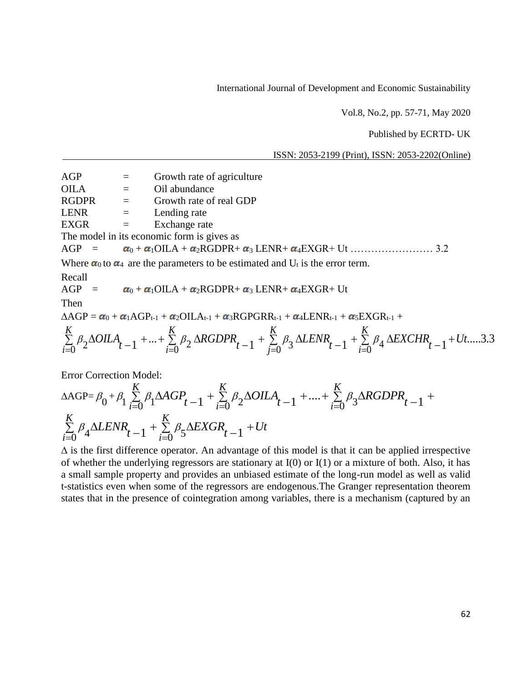Vol.8, No.2, pp. 57-71, May 2020

Published by ECRTD- UK

ISSN: 2053-2199 (Print), ISSN: 2053-2202(Online)

 $AGP =$  Growth rate of agriculture

OILA = Oil abundance

 $RGDPR = Growth rate of real GDP$ 

 $LENR =$  Lending rate

 $EXGR = Exchange rate$ 

The model in its economic form is gives as

AGP =  $\alpha_0 + \alpha_1 OILA + \alpha_2 RGDPR + \alpha_3 LENR + \alpha_4 EXGR + Ut$  ………………… 3.2

Where  $\alpha_0$  to  $\alpha_4$  are the parameters to be estimated and U<sub>t</sub> is the error term.

Recall

AGP =  $\alpha_0 + \alpha_1 OILA + \alpha_2 RGDPR + \alpha_3 LENR + \alpha_4 EXGR + Ut$ 

Then

 $\triangle AGP = \alpha_0 + \alpha_1 AGP_{t-1} + \alpha_2 OILA_{t-1} + \alpha_3 RGPGRR_{t-1} + \alpha_4 LENR_{t-1} + \alpha_5 EXGR_{t-1} +$ 

$$
\sum_{i=0}^{K} \beta_2 \Delta OILA_{t-1} + ... + \sum_{i=0}^{K} \beta_2 \Delta RGDPR_{t-1} + \sum_{j=0}^{K} \beta_3 \Delta LENR_{t-1} + \sum_{i=0}^{K} \beta_4 \Delta EXCHR_{t-1} + Ut....3.3
$$

Error Correction Model:

$$
\Delta \text{AGP} = \beta_0 + \beta_1 \sum_{i=0}^{K} \beta_1 \Delta AGP_{t-1} + \sum_{i=0}^{K} \beta_2 \Delta OILA_{t-1} + \dots + \sum_{i=0}^{K} \beta_3 \Delta RGDPR_{t-1} + \sum_{i=0}^{K} \beta_4 \Delta LENR_{t-1} + \sum_{i=0}^{K} \beta_5 \Delta EXGR_{t-1} + Ut
$$

 $\Delta$  is the first difference operator. An advantage of this model is that it can be applied irrespective of whether the underlying regressors are stationary at  $I(0)$  or  $I(1)$  or a mixture of both. Also, it has a small sample property and provides an unbiased estimate of the long-run model as well as valid t-statistics even when some of the regressors are endogenous.The Granger representation theorem states that in the presence of cointegration among variables, there is a mechanism (captured by an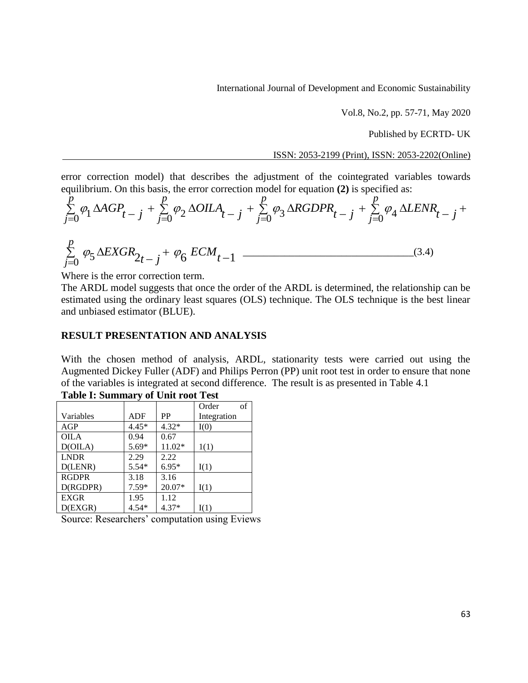Vol.8, No.2, pp. 57-71, May 2020

Published by ECRTD- UK

ISSN: 2053-2199 (Print), ISSN: 2053-2202(Online)

error correction model) that describes the adjustment of the cointegrated variables towards equilibrium. On this basis, the error correction model for equation **(2)** is specified as:

$$
\sum_{j=0}^{p} \varphi_1 \Delta AGP_{t-j} + \sum_{j=0}^{p} \varphi_2 \Delta OILA_{t-j} + \sum_{j=0}^{p} \varphi_3 \Delta RGBPR_{t-j} + \sum_{j=0}^{p} \varphi_4 \Delta LENR_{t-j} +
$$

$$
\sum_{j=0}^{p} \varphi_5 \Delta EXGR_{2t-j} + \varphi_6 ECM_{t-1} \quad (3.4)
$$

Where is the error correction term.

The ARDL model suggests that once the order of the ARDL is determined, the relationship can be estimated using the ordinary least squares (OLS) technique. The OLS technique is the best linear and unbiased estimator (BLUE).

#### **RESULT PRESENTATION AND ANALYSIS**

With the chosen method of analysis, ARDL, stationarity tests were carried out using the Augmented Dickey Fuller (ADF) and Philips Perron (PP) unit root test in order to ensure that none of the variables is integrated at second difference. The result is as presented in Table 4.1 **Table I: Summary of Unit root Test**

|              | $\cdot$ |         | of<br>Order |
|--------------|---------|---------|-------------|
| Variables    | ADF     | PP      | Integration |
| AGP          | $4.45*$ | $4.32*$ | I(0)        |
| <b>OILA</b>  | 0.94    | 0.67    |             |
| D(OILA)      | 5.69*   | 11.02*  | 1(1)        |
| <b>LNDR</b>  | 2.29    | 2.22    |             |
| D(LENR)      | $5.54*$ | $6.95*$ | I(1)        |
| <b>RGDPR</b> | 3.18    | 3.16    |             |
| D(RGDPR)     | $7.59*$ | 20.07*  | I(1)        |
| <b>EXGR</b>  | 1.95    | 1.12    |             |
| D(EXGR)      | $4.54*$ | $4.37*$ | I(1)        |

Source: Researchers' computation using Eviews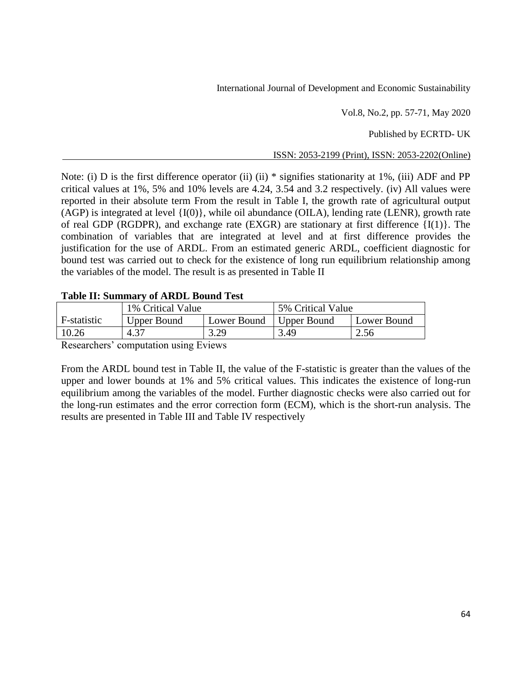Vol.8, No.2, pp. 57-71, May 2020

Published by ECRTD- UK

ISSN: 2053-2199 (Print), ISSN: 2053-2202(Online)

Note: (i) D is the first difference operator (ii) (ii) \* signifies stationarity at 1%, (iii) ADF and PP critical values at 1%, 5% and 10% levels are 4.24, 3.54 and 3.2 respectively. (iv) All values were reported in their absolute term From the result in Table I, the growth rate of agricultural output (AGP) is integrated at level {I(0)}, while oil abundance (OILA), lending rate (LENR), growth rate of real GDP (RGDPR), and exchange rate (EXGR) are stationary at first difference  $\{I(1)\}\$ . The combination of variables that are integrated at level and at first difference provides the justification for the use of ARDL. From an estimated generic ARDL, coefficient diagnostic for bound test was carried out to check for the existence of long run equilibrium relationship among the variables of the model. The result is as presented in Table II

## **Table II: Summary of ARDL Bound Test**

|             | 1% Critical Value  |             | 5% Critical Value |             |
|-------------|--------------------|-------------|-------------------|-------------|
| F-statistic | <b>Upper Bound</b> | Lower Bound | Upper Bound       | Lower Bound |
| 10.26       | 4.37               | 3.29        | 3.49              | 2.56        |
|             |                    |             |                   |             |

Researchers' computation using Eviews

From the ARDL bound test in Table II, the value of the F-statistic is greater than the values of the upper and lower bounds at 1% and 5% critical values. This indicates the existence of long-run equilibrium among the variables of the model. Further diagnostic checks were also carried out for the long-run estimates and the error correction form (ECM), which is the short-run analysis. The results are presented in Table III and Table IV respectively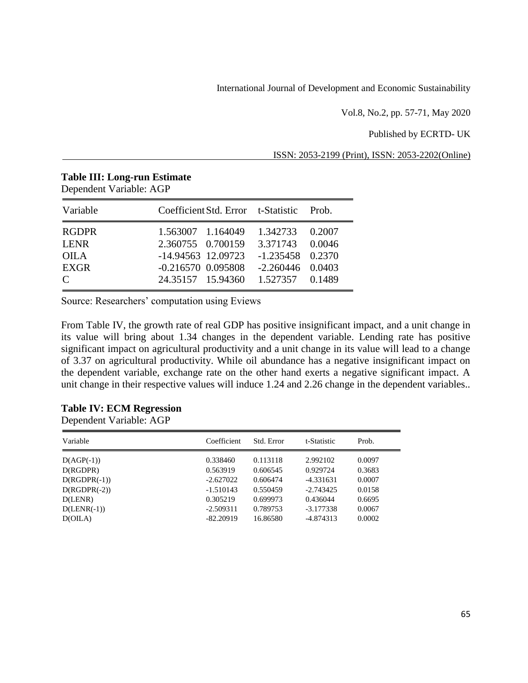Vol.8, No.2, pp. 57-71, May 2020

Published by ECRTD- UK

ISSN: 2053-2199 (Print), ISSN: 2053-2202(Online)

| Variable                                                                                 | Coefficient Std. Error t-Statistic                                                                          |  |                                                                                            | Prob.  |
|------------------------------------------------------------------------------------------|-------------------------------------------------------------------------------------------------------------|--|--------------------------------------------------------------------------------------------|--------|
| <b>RGDPR</b><br><b>LENR</b><br><b>OILA</b><br><b>EXGR</b><br>$\mathcal{C}_{\mathcal{C}}$ | 1.563007 1.164049<br>2.360755 0.700159<br>$-14.94563$ 12.09723<br>$-0.216570$ 0.095808<br>24.35157 15.94360 |  | 1.342733<br>3.371743 0.0046<br>$-1.235458$ 0.2370<br>$-2.260446$ 0.0403<br>1.527357 0.1489 | 0.2007 |

#### **Table III: Long-run Estimate** Dependent Variable: AGP

Source: Researchers' computation using Eviews

From Table IV, the growth rate of real GDP has positive insignificant impact, and a unit change in its value will bring about 1.34 changes in the dependent variable. Lending rate has positive significant impact on agricultural productivity and a unit change in its value will lead to a change of 3.37 on agricultural productivity. While oil abundance has a negative insignificant impact on the dependent variable, exchange rate on the other hand exerts a negative significant impact. A unit change in their respective values will induce 1.24 and 2.26 change in the dependent variables..

## **Table IV: ECM Regression**

Dependent Variable: AGP

| Variable       | Coefficient | Std. Error | t-Statistic | Prob.  |
|----------------|-------------|------------|-------------|--------|
| $D(AGP(-1))$   | 0.338460    | 0.113118   | 2.992102    | 0.0097 |
| D(RGDPR)       | 0.563919    | 0.606545   | 0.929724    | 0.3683 |
| $D(RGDPR(-1))$ | $-2.627022$ | 0.606474   | $-4.331631$ | 0.0007 |
| $D(RGDPR(-2))$ | $-1.510143$ | 0.550459   | $-2.743425$ | 0.0158 |
| D(LENR)        | 0.305219    | 0.699973   | 0.436044    | 0.6695 |
| $D(LENR(-1))$  | $-2.509311$ | 0.789753   | $-3.177338$ | 0.0067 |
| D(OILA)        | $-82.20919$ | 16.86580   | $-4.874313$ | 0.0002 |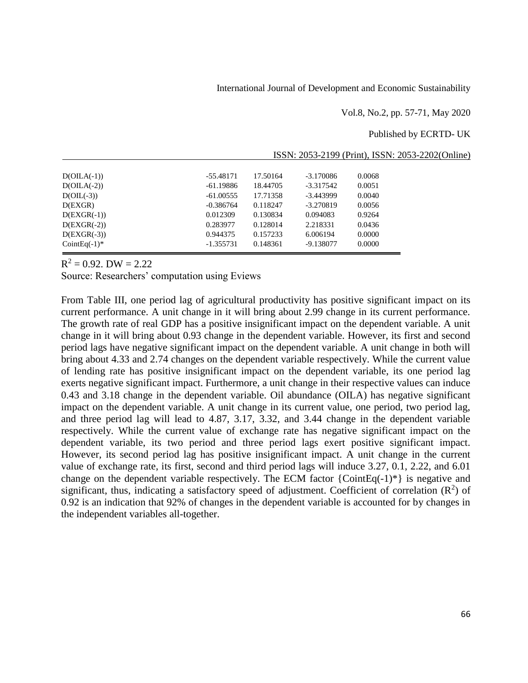Vol.8, No.2, pp. 57-71, May 2020

ISSN: 2053-2199 (Print), ISSN: 2053-2202(Online)

Published by ECRTD- UK

| $D(OILA(-1))$    | -55.48171   | 17.50164 | $-3.170086$ | 0.0068 |
|------------------|-------------|----------|-------------|--------|
| $D(OILA(-2))$    | -61.19886   | 18.44705 | $-3.317542$ | 0.0051 |
| $D(OIL(-3))$     | $-61.00555$ | 17.71358 | $-3.443999$ | 0.0040 |
| D(EXGR)          | $-0.386764$ | 0.118247 | -3.270819   | 0.0056 |
| $D(EXGR(-1))$    | 0.012309    | 0.130834 | 0.094083    | 0.9264 |
| $D(EXGR(-2))$    | 0.283977    | 0.128014 | 2.218331    | 0.0436 |
| $D(EXGR(-3))$    | 0.944375    | 0.157233 | 6.006194    | 0.0000 |
| CointEq $(-1)^*$ | $-1.355731$ | 0.148361 | -9.138077   | 0.0000 |
|                  |             |          |             |        |

 $R^2 = 0.92$ . DW = 2.22

Source: Researchers' computation using Eviews

From Table III, one period lag of agricultural productivity has positive significant impact on its current performance. A unit change in it will bring about 2.99 change in its current performance. The growth rate of real GDP has a positive insignificant impact on the dependent variable. A unit change in it will bring about 0.93 change in the dependent variable. However, its first and second period lags have negative significant impact on the dependent variable. A unit change in both will bring about 4.33 and 2.74 changes on the dependent variable respectively. While the current value of lending rate has positive insignificant impact on the dependent variable, its one period lag exerts negative significant impact. Furthermore, a unit change in their respective values can induce 0.43 and 3.18 change in the dependent variable. Oil abundance (OILA) has negative significant impact on the dependent variable. A unit change in its current value, one period, two period lag, and three period lag will lead to 4.87, 3.17, 3.32, and 3.44 change in the dependent variable respectively. While the current value of exchange rate has negative significant impact on the dependent variable, its two period and three period lags exert positive significant impact. However, its second period lag has positive insignificant impact. A unit change in the current value of exchange rate, its first, second and third period lags will induce 3.27, 0.1, 2.22, and 6.01 change on the dependent variable respectively. The ECM factor  ${CointEq(-1)^*}$  is negative and significant, thus, indicating a satisfactory speed of adjustment. Coefficient of correlation  $(R^2)$  of 0.92 is an indication that 92% of changes in the dependent variable is accounted for by changes in the independent variables all-together.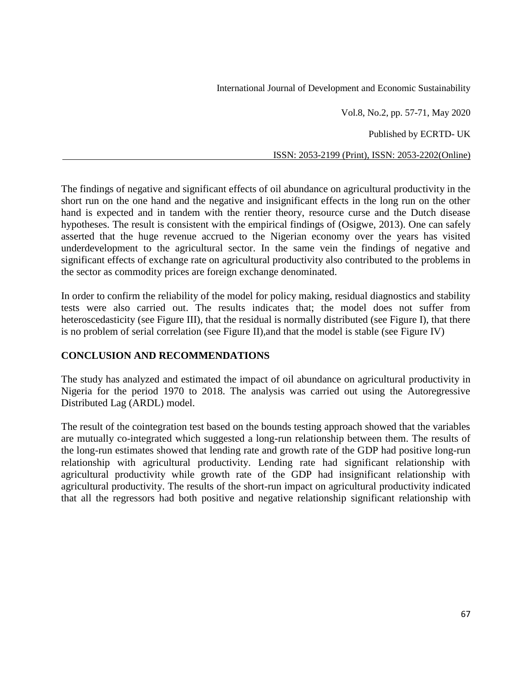Vol.8, No.2, pp. 57-71, May 2020

Published by ECRTD- UK

ISSN: 2053-2199 (Print), ISSN: 2053-2202(Online)

The findings of negative and significant effects of oil abundance on agricultural productivity in the short run on the one hand and the negative and insignificant effects in the long run on the other hand is expected and in tandem with the rentier theory, resource curse and the Dutch disease hypotheses. The result is consistent with the empirical findings of (Osigwe, 2013). One can safely asserted that the huge revenue accrued to the Nigerian economy over the years has visited underdevelopment to the agricultural sector. In the same vein the findings of negative and significant effects of exchange rate on agricultural productivity also contributed to the problems in the sector as commodity prices are foreign exchange denominated.

In order to confirm the reliability of the model for policy making, residual diagnostics and stability tests were also carried out. The results indicates that; the model does not suffer from heteroscedasticity (see Figure III), that the residual is normally distributed (see Figure I), that there is no problem of serial correlation (see Figure II),and that the model is stable (see Figure IV)

## **CONCLUSION AND RECOMMENDATIONS**

The study has analyzed and estimated the impact of oil abundance on agricultural productivity in Nigeria for the period 1970 to 2018. The analysis was carried out using the Autoregressive Distributed Lag (ARDL) model.

The result of the cointegration test based on the bounds testing approach showed that the variables are mutually co-integrated which suggested a long-run relationship between them. The results of the long-run estimates showed that lending rate and growth rate of the GDP had positive long-run relationship with agricultural productivity. Lending rate had significant relationship with agricultural productivity while growth rate of the GDP had insignificant relationship with agricultural productivity. The results of the short-run impact on agricultural productivity indicated that all the regressors had both positive and negative relationship significant relationship with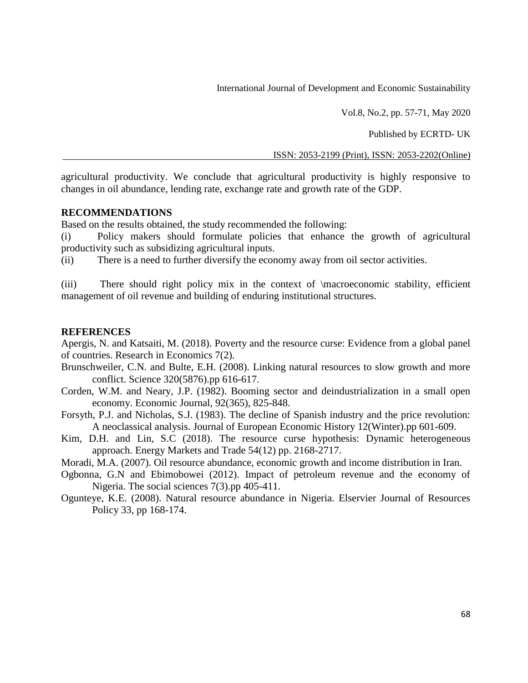Vol.8, No.2, pp. 57-71, May 2020

Published by ECRTD- UK

ISSN: 2053-2199 (Print), ISSN: 2053-2202(Online)

agricultural productivity. We conclude that agricultural productivity is highly responsive to changes in oil abundance, lending rate, exchange rate and growth rate of the GDP.

#### **RECOMMENDATIONS**

Based on the results obtained, the study recommended the following:

(i) Policy makers should formulate policies that enhance the growth of agricultural productivity such as subsidizing agricultural inputs.

(ii) There is a need to further diversify the economy away from oil sector activities.

(iii) There should right policy mix in the context of \macroeconomic stability, efficient management of oil revenue and building of enduring institutional structures.

#### **REFERENCES**

Apergis, N. and Katsaiti, M. (2018). Poverty and the resource curse: Evidence from a global panel of countries. Research in Economics 7(2).

- Brunschweiler, C.N. and Bulte, E.H. (2008). Linking natural resources to slow growth and more conflict. Science 320(5876).pp 616-617.
- Corden, W.M. and Neary, J.P. (1982). Booming sector and deindustrialization in a small open economy. Economic Journal, 92(365), 825-848.
- Forsyth, P.J. and Nicholas, S.J. (1983). The decline of Spanish industry and the price revolution: A neoclassical analysis. Journal of European Economic History 12(Winter).pp 601-609.
- Kim, D.H. and Lin, S.C (2018). The resource curse hypothesis: Dynamic heterogeneous approach. Energy Markets and Trade 54(12) pp. 2168-2717.

Moradi, M.A. (2007). Oil resource abundance, economic growth and income distribution in Iran.

- Ogbonna, G.N and Ebimobowei (2012). Impact of petroleum revenue and the economy of Nigeria. The social sciences 7(3).pp 405-411.
- Ogunteye, K.E. (2008). Natural resource abundance in Nigeria. Elservier Journal of Resources Policy 33, pp 168-174.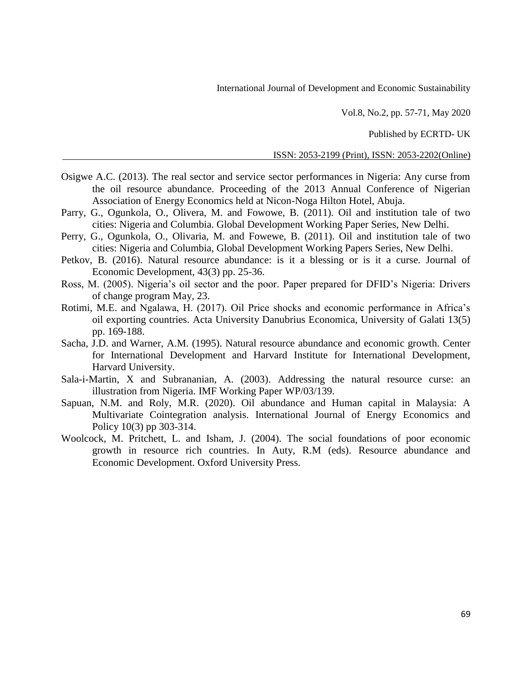Vol.8, No.2, pp. 57-71, May 2020

Published by ECRTD- UK

ISSN: 2053-2199 (Print), ISSN: 2053-2202(Online)

- Osigwe A.C. (2013). The real sector and service sector performances in Nigeria: Any curse from the oil resource abundance. Proceeding of the 2013 Annual Conference of Nigerian Association of Energy Economics held at Nicon-Noga Hilton Hotel, Abuja.
- Parry, G., Ogunkola, O., Olivera, M. and Fowowe, B. (2011). Oil and institution tale of two cities: Nigeria and Columbia. Global Development Working Paper Series, New Delhi.
- Perry, G., Ogunkola, O., Olivaria, M. and Fowewe, B. (2011). Oil and institution tale of two cities: Nigeria and Columbia, Global Development Working Papers Series, New Delhi.
- Petkov, B. (2016). Natural resource abundance: is it a blessing or is it a curse. Journal of Economic Development, 43(3) pp. 25-36.
- Ross, M. (2005). Nigeria's oil sector and the poor. Paper prepared for DFID's Nigeria: Drivers of change program May, 23.
- Rotimi, M.E. and Ngalawa, H. (2017). Oil Price shocks and economic performance in Africa's oil exporting countries. Acta University Danubrius Economica, University of Galati 13(5) pp. 169-188.
- Sacha, J.D. and Warner, A.M. (1995). Natural resource abundance and economic growth. Center for International Development and Harvard Institute for International Development, Harvard University.
- Sala-i-Martin, X and Subrananian, A. (2003). Addressing the natural resource curse: an illustration from Nigeria. IMF Working Paper WP/03/139.
- Sapuan, N.M. and Roly, M.R. (2020). Oil abundance and Human capital in Malaysia: A Multivariate Cointegration analysis. International Journal of Energy Economics and Policy 10(3) pp 303-314.
- Woolcock, M. Pritchett, L. and Isham, J. (2004). The social foundations of poor economic growth in resource rich countries. In Auty, R.M (eds). Resource abundance and Economic Development. Oxford University Press.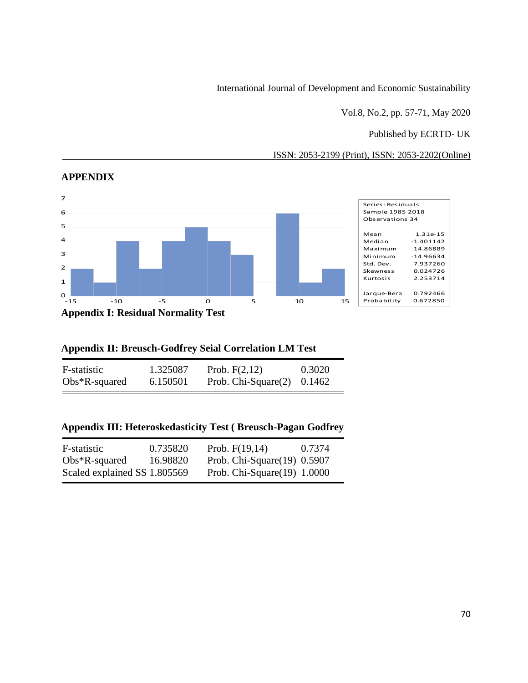Vol.8, No.2, pp. 57-71, May 2020

# Published by ECRTD- UK

ISSN: 2053-2199 (Print), ISSN: 2053-2202(Online)



#### **APPENDIX**

# **Appendix II: Breusch-Godfrey Seial Correlation LM Test**

| F-statistic      | 1.325087 | Prob. $F(2,12)$               | 0.3020 |
|------------------|----------|-------------------------------|--------|
| $Obs*R$ -squared | 6.150501 | Prob. Chi-Square $(2)$ 0.1462 |        |

# **Appendix III: Heteroskedasticity Test ( Breusch-Pagan Godfrey**

| F-statistic                  | 0.735820 | Prob. $F(19,14)$               | 0.7374 |
|------------------------------|----------|--------------------------------|--------|
| $Obs*R$ -squared             | 16.98820 | Prob. Chi-Square $(19)$ 0.5907 |        |
| Scaled explained SS 1.805569 |          | Prob. Chi-Square $(19)$ 1.0000 |        |